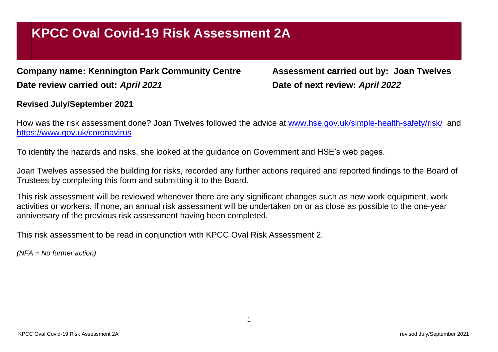## **KPCC Oval Covid-19 Risk Assessment 2A**

**Company name: Kennington Park Community Centre Assessment carried out by: Joan Twelves Date review carried out:** *April 2021* **Date of next review:** *April 2022*

## **Revised July/September 2021**

How was the risk assessment done? Joan Twelves followed the advice at [www.hse.gov.uk/simple-health-safety/risk/](http://www.hse.gov.uk/simple-health-safety/risk/) and <https://www.gov.uk/coronavirus>

To identify the hazards and risks, she looked at the guidance on Government and HSE's web pages.

Joan Twelves assessed the building for risks, recorded any further actions required and reported findings to the Board of Trustees by completing this form and submitting it to the Board.

This risk assessment will be reviewed whenever there are any significant changes such as new work equipment, work activities or workers. If none, an annual risk assessment will be undertaken on or as close as possible to the one-year anniversary of the previous risk assessment having been completed.

This risk assessment to be read in conjunction with KPCC Oval Risk Assessment 2.

*(NFA = No further action)*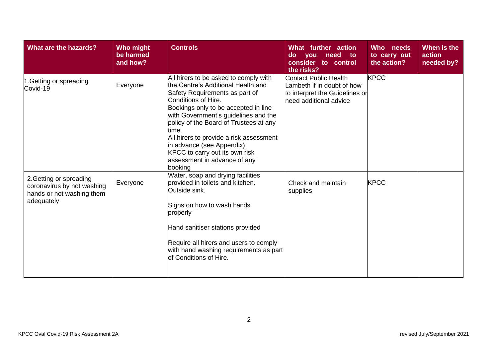| What are the hazards?                                                                            | Who might<br>be harmed<br>and how? | <b>Controls</b>                                                                                                                                                                                                                                                                                                                                                                                                               | What further action<br>do<br>need<br>to:<br><b>you</b><br>consider to control<br>the risks?                           | Who needs<br>to carry out<br>the action? | When is the<br>action<br>needed by? |
|--------------------------------------------------------------------------------------------------|------------------------------------|-------------------------------------------------------------------------------------------------------------------------------------------------------------------------------------------------------------------------------------------------------------------------------------------------------------------------------------------------------------------------------------------------------------------------------|-----------------------------------------------------------------------------------------------------------------------|------------------------------------------|-------------------------------------|
| 1. Getting or spreading<br>Covid-19                                                              | Everyone                           | All hirers to be asked to comply with<br>the Centre's Additional Health and<br>Safety Requirements as part of<br>Conditions of Hire.<br>Bookings only to be accepted in line<br>with Government's guidelines and the<br>policy of the Board of Trustees at any<br>time.<br>All hirers to provide a risk assessment<br>in advance (see Appendix).<br>KPCC to carry out its own risk<br>assessment in advance of any<br>bookina | <b>Contact Public Health</b><br>ambeth if in doubt of how<br>to interpret the Guidelines or<br>need additional advice | <b>KPCC</b>                              |                                     |
| 2. Getting or spreading<br>coronavirus by not washing<br>hands or not washing them<br>adequately | Everyone                           | Water, soap and drying facilities<br>provided in toilets and kitchen.<br>Outside sink.<br>Signs on how to wash hands<br>properly<br>Hand sanitiser stations provided<br>Require all hirers and users to comply<br>with hand washing requirements as part<br>of Conditions of Hire.                                                                                                                                            | Check and maintain<br>supplies                                                                                        | <b>KPCC</b>                              |                                     |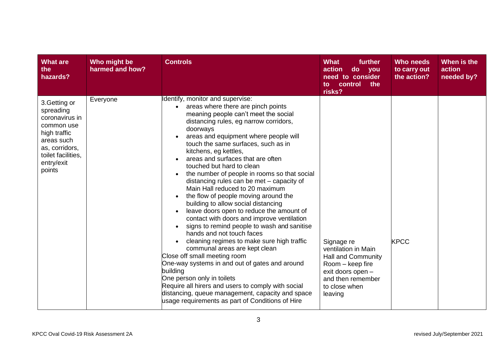| <b>What are</b><br>the<br>hazards?                                                                                                                       | Who might be<br>harmed and how? | <b>Controls</b>                                                                                                                                                                                                                                                                                                                                                                                                                                                                                                                                                                                                                                                                                                                                                                                                                                                                                                                                                                                                                                                                                                                                      | <b>What</b><br>further<br>action<br>$\mathsf{do}$<br><b>you</b><br>need to consider<br>control<br>the<br>$\mathsf{to}$<br>risks?                         | <b>Who needs</b><br>to carry out<br>the action? | When is the<br>action<br>needed by? |
|----------------------------------------------------------------------------------------------------------------------------------------------------------|---------------------------------|------------------------------------------------------------------------------------------------------------------------------------------------------------------------------------------------------------------------------------------------------------------------------------------------------------------------------------------------------------------------------------------------------------------------------------------------------------------------------------------------------------------------------------------------------------------------------------------------------------------------------------------------------------------------------------------------------------------------------------------------------------------------------------------------------------------------------------------------------------------------------------------------------------------------------------------------------------------------------------------------------------------------------------------------------------------------------------------------------------------------------------------------------|----------------------------------------------------------------------------------------------------------------------------------------------------------|-------------------------------------------------|-------------------------------------|
| 3. Getting or<br>spreading<br>coronavirus in<br>common use<br>high traffic<br>areas such<br>as, corridors,<br>toilet facilities,<br>entry/exit<br>points | Everyone                        | Identify, monitor and supervise:<br>areas where there are pinch points<br>$\bullet$<br>meaning people can't meet the social<br>distancing rules, eg narrow corridors,<br>doorways<br>areas and equipment where people will<br>touch the same surfaces, such as in<br>kitchens, eg kettles,<br>areas and surfaces that are often<br>touched but hard to clean<br>the number of people in rooms so that social<br>$\bullet$<br>distancing rules can be met - capacity of<br>Main Hall reduced to 20 maximum<br>the flow of people moving around the<br>building to allow social distancing<br>leave doors open to reduce the amount of<br>$\bullet$<br>contact with doors and improve ventilation<br>signs to remind people to wash and sanitise<br>hands and not touch faces<br>cleaning regimes to make sure high traffic<br>communal areas are kept clean<br>Close off small meeting room<br>One-way systems in and out of gates and around<br>building<br>One person only in toilets<br>Require all hirers and users to comply with social<br>distancing, queue management, capacity and space<br>usage requirements as part of Conditions of Hire | Signage re<br>ventilation in Main<br><b>Hall and Community</b><br>Room - keep fire<br>exit doors open -<br>and then remember<br>to close when<br>leaving | <b>KPCC</b>                                     |                                     |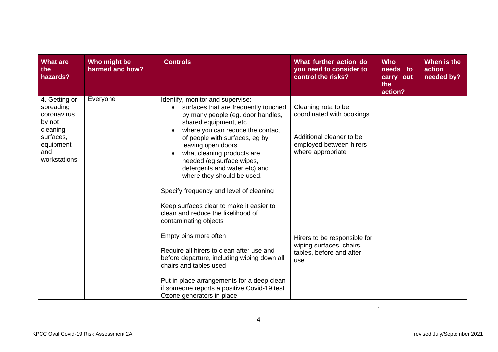| <b>What are</b><br>the<br>hazards?                                                                               | Who might be<br>harmed and how? | <b>Controls</b>                                                                                                                                                                                                                                                                                                                                                                                                              | What further action do<br>you need to consider to<br>control the risks?                                                      | <b>Who</b><br>needs to<br>carry out<br>the<br>action? | When is the<br>action<br>needed by? |
|------------------------------------------------------------------------------------------------------------------|---------------------------------|------------------------------------------------------------------------------------------------------------------------------------------------------------------------------------------------------------------------------------------------------------------------------------------------------------------------------------------------------------------------------------------------------------------------------|------------------------------------------------------------------------------------------------------------------------------|-------------------------------------------------------|-------------------------------------|
| 4. Getting or<br>spreading<br>coronavirus<br>by not<br>cleaning<br>surfaces,<br>equipment<br>and<br>workstations | Everyone                        | Identify, monitor and supervise:<br>surfaces that are frequently touched<br>$\bullet$<br>by many people (eg. door handles,<br>shared equipment, etc<br>where you can reduce the contact<br>$\bullet$<br>of people with surfaces, eg by<br>leaving open doors<br>what cleaning products are<br>$\bullet$<br>needed (eg surface wipes,<br>detergents and water etc) and<br>where they should be used.                          | Cleaning rota to be<br>coordinated with bookings<br>Additional cleaner to be<br>employed between hirers<br>where appropriate |                                                       |                                     |
|                                                                                                                  |                                 | Specify frequency and level of cleaning<br>Keep surfaces clear to make it easier to<br>clean and reduce the likelihood of<br>contaminating objects<br>Empty bins more often<br>Require all hirers to clean after use and<br>before departure, including wiping down all<br>chairs and tables used<br>Put in place arrangements for a deep clean<br>lif someone reports a positive Covid-19 test<br>Ozone generators in place | Hirers to be responsible for<br>wiping surfaces, chairs,<br>tables, before and after<br>use                                  |                                                       |                                     |

 $\mathcal{L}^{\text{max}}_{\text{max}}$  , where  $\mathcal{L}^{\text{max}}_{\text{max}}$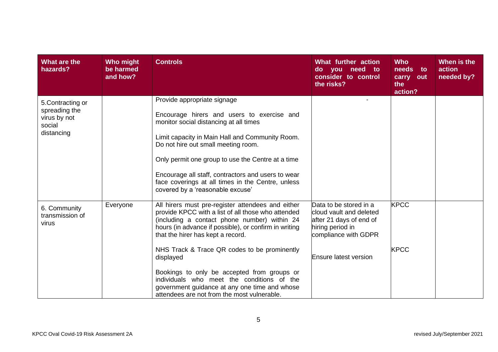| What are the<br>hazards?                                                   | Who might<br>be harmed<br>and how? | <b>Controls</b>                                                                                                                                                                                                                                                                                                                                                                                                                                                                                                 | What further action<br>do you need to<br>consider to control<br>the risks?                                                                        | <b>Who</b><br>needs<br>to<br>carry<br>out<br>the<br>action? | When is the<br>action<br>needed by? |
|----------------------------------------------------------------------------|------------------------------------|-----------------------------------------------------------------------------------------------------------------------------------------------------------------------------------------------------------------------------------------------------------------------------------------------------------------------------------------------------------------------------------------------------------------------------------------------------------------------------------------------------------------|---------------------------------------------------------------------------------------------------------------------------------------------------|-------------------------------------------------------------|-------------------------------------|
| 5. Contracting or<br>spreading the<br>virus by not<br>social<br>distancing |                                    | Provide appropriate signage<br>Encourage hirers and users to exercise and<br>monitor social distancing at all times<br>Limit capacity in Main Hall and Community Room.<br>Do not hire out small meeting room.<br>Only permit one group to use the Centre at a time<br>Encourage all staff, contractors and users to wear<br>face coverings at all times in the Centre, unless<br>covered by a 'reasonable excuse'                                                                                               |                                                                                                                                                   |                                                             |                                     |
| 6. Community<br>transmission of<br>virus                                   | Everyone                           | All hirers must pre-register attendees and either<br>provide KPCC with a list of all those who attended<br>(including a contact phone number) within 24<br>hours (in advance if possible), or confirm in writing<br>that the hirer has kept a record.<br>NHS Track & Trace QR codes to be prominently<br>displayed<br>Bookings to only be accepted from groups or<br>individuals who meet the conditions of the<br>government guidance at any one time and whose<br>attendees are not from the most vulnerable. | Data to be stored in a<br>cloud vault and deleted<br>after 21 days of end of<br>hiring period in<br>compliance with GDPR<br>Ensure latest version | <b>KPCC</b><br><b>KPCC</b>                                  |                                     |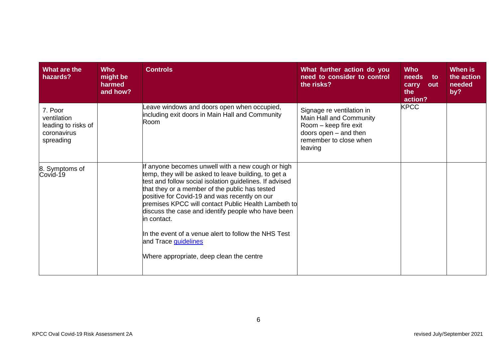| What are the<br>hazards?                                                  | <b>Who</b><br>might be<br>harmed<br>and how? | <b>Controls</b>                                                                                                                                                                                                                                                                                                                                                                                                                                                                                                                 | What further action do you<br>need to consider to control<br>the risks?                                                                     | <b>Who</b><br>needs<br>to<br>carry<br>out<br>the<br>action? | When is<br>the action<br>needed<br>by? |
|---------------------------------------------------------------------------|----------------------------------------------|---------------------------------------------------------------------------------------------------------------------------------------------------------------------------------------------------------------------------------------------------------------------------------------------------------------------------------------------------------------------------------------------------------------------------------------------------------------------------------------------------------------------------------|---------------------------------------------------------------------------------------------------------------------------------------------|-------------------------------------------------------------|----------------------------------------|
| 7. Poor<br>ventilation<br>leading to risks of<br>coronavirus<br>spreading |                                              | eave windows and doors open when occupied,<br>including exit doors in Main Hall and Community<br>Room                                                                                                                                                                                                                                                                                                                                                                                                                           | Signage re ventilation in<br>Main Hall and Community<br>Room - keep fire exit<br>doors open - and then<br>remember to close when<br>leaving | <b>KPCC</b>                                                 |                                        |
| 8. Symptoms of<br>Covid-19                                                |                                              | If anyone becomes unwell with a new cough or high<br>temp, they will be asked to leave building, to get a<br>test and follow social isolation guidelines. If advised<br>that they or a member of the public has tested<br>positive for Covid-19 and was recently on our<br>premises KPCC will contact Public Health Lambeth to<br>discuss the case and identify people who have been<br>in contact.<br>In the event of a venue alert to follow the NHS Test<br>and Trace guidelines<br>Where appropriate, deep clean the centre |                                                                                                                                             |                                                             |                                        |